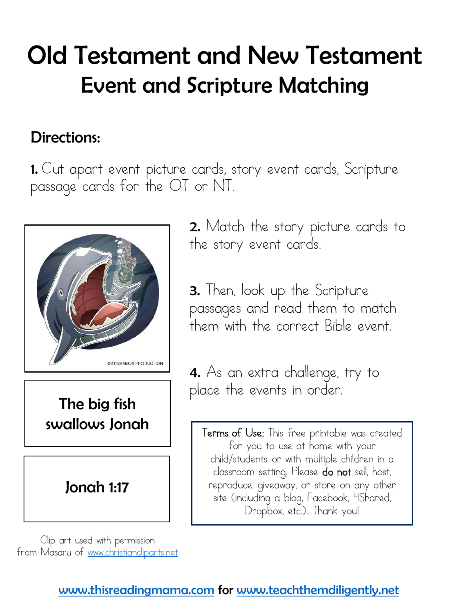## Old Testament and New Testament Event and Scripture Matching

## Directions:

1. Cut apart event picture cards, story event cards, Scripture passage cards for the OT or NT.



The big fish swallows Jonah

## Jonah 1:17

Clip art used with permission from Masaru of [www.christiancliparts.net](http://www.christiancliparts.net/) 2. Match the story picture cards to the story event cards.

3. Then, look up the Scripture passages and read them to match them with the correct Bible event.

4. As an extra challenge, try to place the events in order.

Terms of Use: This free printable was created for you to use at home with your child/students or with multiple children in a classroom setting. Please do not sell, host, reproduce, giveaway, or store on any other site (including a blog, Facebook, 4Shared, Dropbox, etc.). Thank you!

## [www.thisreadingmama.com](http://www.thisreadingmama.com/) for [www.teachthemdiligently.net](http://www.teachthemdiligently.net/)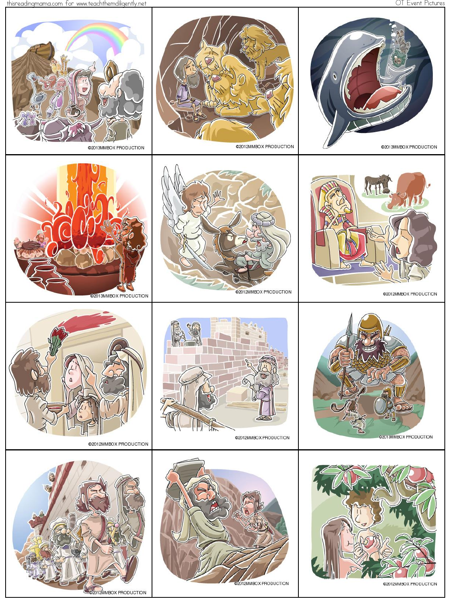thisreadingmama.com for www.teachthemdiligently.net OT Event Pictures

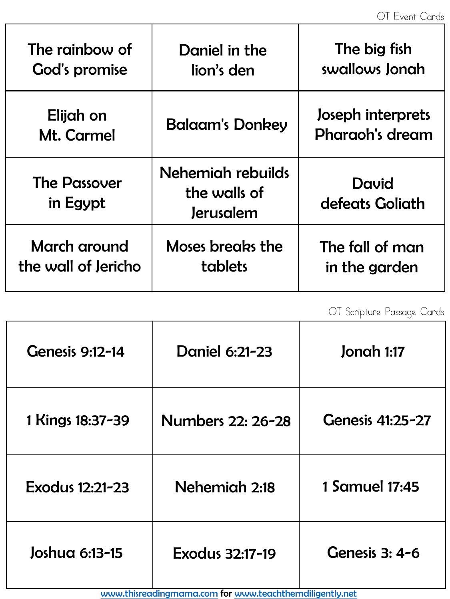| The rainbow of                  | Daniel in the                                  | The big fish                                |
|---------------------------------|------------------------------------------------|---------------------------------------------|
| God's promise                   | lion's den                                     | swallows Jonah                              |
| Elijah on<br>Mt. Carmel         | <b>Balaam's Donkey</b>                         | Joseph interprets<br><b>Pharaoh's dream</b> |
| <b>The Passover</b><br>in Egypt | Nehemiah rebuilds<br>the walls of<br>Jerusalem | David<br>defeats Goliath                    |
| March around                    | Moses breaks the                               | The fall of man                             |
| the wall of Jericho             | tablets                                        | in the garden                               |

OT Scripture Passage Cards

| <b>Genesis 9:12-14</b> | Daniel 6:21-23           | Jonah 1:17            |
|------------------------|--------------------------|-----------------------|
| 1 Kings 18:37-39       |                          | Genesis 41:25-27      |
|                        | <b>Numbers 22: 26-28</b> |                       |
| Exodus 12:21-23        | Nehemiah 2:18            | 1 Samuel 17:45        |
| Joshua 6:13-15         | Exodus 32:17-19          | <b>Genesis 3: 4-6</b> |

[www.thisreadingmama.com](http://www.thisreadingmama.com/) for [www.teachthemdiligently.net](http://www.teachthemdiligently.net/)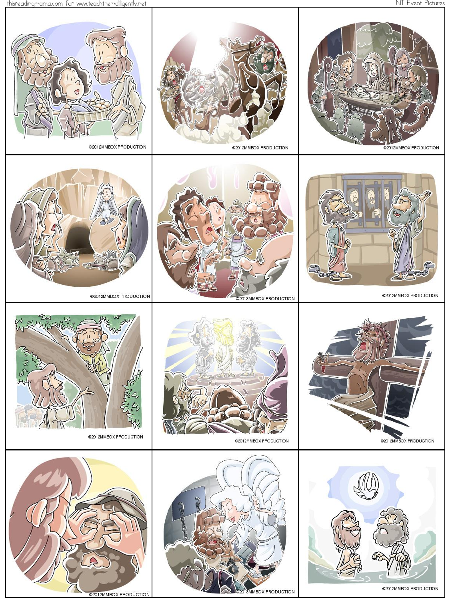

@2012MMBOX PRODUCTION

@2013MMBOX PRODUCTION

@2012MMBOX PRODUCTION